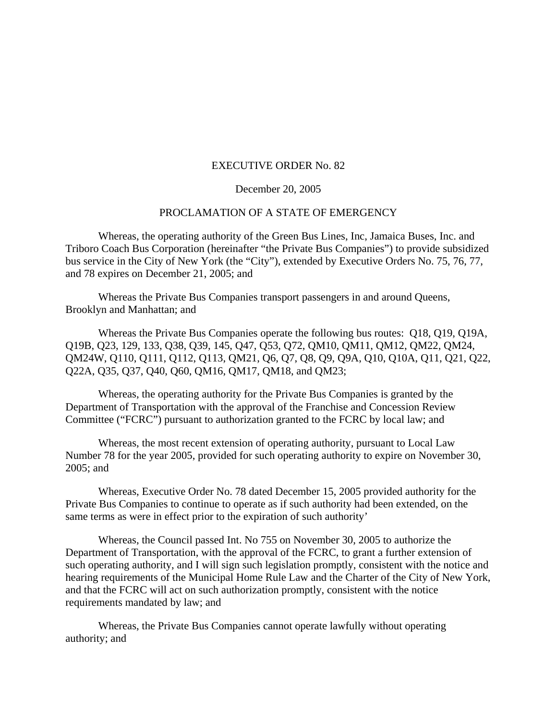## EXECUTIVE ORDER No. 82

## December 20, 2005

## PROCLAMATION OF A STATE OF EMERGENCY

Whereas, the operating authority of the Green Bus Lines, Inc, Jamaica Buses, Inc. and Triboro Coach Bus Corporation (hereinafter "the Private Bus Companies") to provide subsidized bus service in the City of New York (the "City"), extended by Executive Orders No. 75, 76, 77, and 78 expires on December 21, 2005; and

Whereas the Private Bus Companies transport passengers in and around Queens, Brooklyn and Manhattan; and

Whereas the Private Bus Companies operate the following bus routes: Q18, Q19, Q19A, Q19B, Q23, 129, 133, Q38, Q39, 145, Q47, Q53, Q72, QM10, QM11, QM12, QM22, QM24, QM24W, Q110, Q111, Q112, Q113, QM21, Q6, Q7, Q8, Q9, Q9A, Q10, Q10A, Q11, Q21, Q22, Q22A, Q35, Q37, Q40, Q60, QM16, QM17, QM18, and QM23;

Whereas, the operating authority for the Private Bus Companies is granted by the Department of Transportation with the approval of the Franchise and Concession Review Committee ("FCRC") pursuant to authorization granted to the FCRC by local law; and

Whereas, the most recent extension of operating authority, pursuant to Local Law Number 78 for the year 2005, provided for such operating authority to expire on November 30, 2005; and

Whereas, Executive Order No. 78 dated December 15, 2005 provided authority for the Private Bus Companies to continue to operate as if such authority had been extended, on the same terms as were in effect prior to the expiration of such authority'

Whereas, the Council passed Int. No 755 on November 30, 2005 to authorize the Department of Transportation, with the approval of the FCRC, to grant a further extension of such operating authority, and I will sign such legislation promptly, consistent with the notice and hearing requirements of the Municipal Home Rule Law and the Charter of the City of New York, and that the FCRC will act on such authorization promptly, consistent with the notice requirements mandated by law; and

Whereas, the Private Bus Companies cannot operate lawfully without operating authority; and